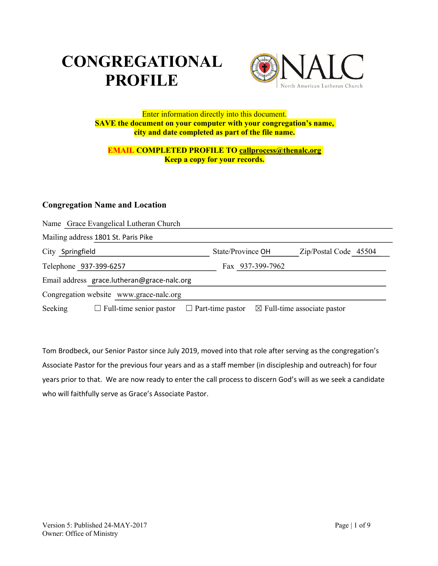# **CONGREGATIONAL PROFILE**



#### Enter information directly into this document. **SAVE the document on your computer with your congregation's name, city and date completed as part of the file name.**

#### **EMAIL COMPLETED PROFILE TO callprocess@thenalc.org Keep a copy for your records.**

## **Congregation Name and Location**

| Name Grace Evangelical Lutheran Church      |                         |                                        |
|---------------------------------------------|-------------------------|----------------------------------------|
| Mailing address 1801 St. Paris Pike         |                         |                                        |
| City Springfield                            | State/Province OH       | Zip/Postal Code 45504                  |
| Telephone 937-399-6257                      | Fax 937-399-7962        |                                        |
| Email address grace.lutheran@grace-nalc.org |                         |                                        |
| Congregation website www.grace-nalc.org     |                         |                                        |
| $\Box$ Full-time senior pastor<br>Seeking   | $\Box$ Part-time pastor | $\boxtimes$ Full-time associate pastor |

Tom Brodbeck, our Senior Pastor since July 2019, moved into that role after serving as the congregation's Associate Pastor for the previous four years and as a staff member (in discipleship and outreach) for four years prior to that. We are now ready to enter the call process to discern God's will as we seek a candidate who will faithfully serve as Grace's Associate Pastor.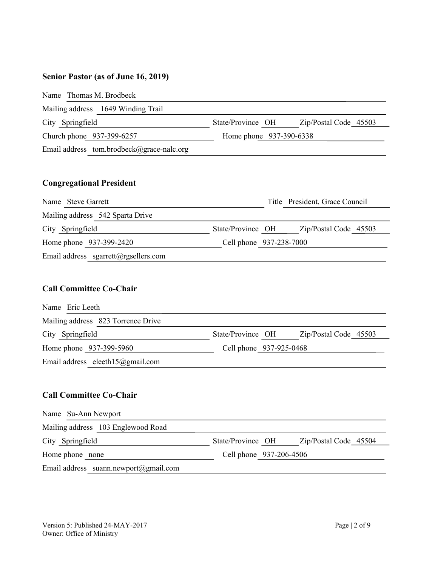# **Senior Pastor (as of June 16, 2019)**

|                  | Name Thomas M. Brodbeck                   |                         |                       |
|------------------|-------------------------------------------|-------------------------|-----------------------|
|                  | Mailing address 1649 Winding Trail        |                         |                       |
| City Springfield |                                           | State/Province OH       | Zip/Postal Code 45503 |
|                  | Church phone 937-399-6257                 | Home phone 937-390-6338 |                       |
|                  | Email address tom.brodbeck@grace-nalc.org |                         |                       |

# **Congregational President**

| Name Steve Garrett                   | Title President, Grace Council             |
|--------------------------------------|--------------------------------------------|
| Mailing address 542 Sparta Drive     |                                            |
| City Springfield                     | State/Province OH<br>Zip/Postal Code 45503 |
| Home phone 937-399-2420              | Cell phone 937-238-7000                    |
| Email address sgarrett@rgsellers.com |                                            |

# **Call Committee Co-Chair**

| Name Eric Leeth                    |                                            |
|------------------------------------|--------------------------------------------|
| Mailing address 823 Torrence Drive |                                            |
| City Springfield                   | State/Province OH<br>Zip/Postal Code 45503 |
| Home phone 937-399-5960            | Cell phone 937-925-0468                    |
| Email address eleeth15@gmail.com   |                                            |

## **Call Committee Co-Chair**

| Name Su-Ann Newport                   |                                            |
|---------------------------------------|--------------------------------------------|
| Mailing address 103 Englewood Road    |                                            |
| City Springfield                      | State/Province OH<br>Zip/Postal Code 45504 |
| Home phone none                       | Cell phone 937-206-4506                    |
| Email address suann.newport@gmail.com |                                            |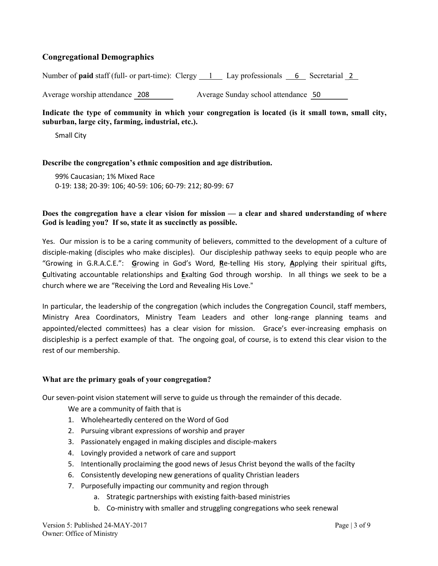## **Congregational Demographics**

Number of **paid** staff (full- or part-time): Clergy 1 Lay professionals 6 Secretarial 2

Average worship attendance 208 Average Sunday school attendance 50

#### **Indicate the type of community in which your congregation is located (is it small town, small city, suburban, large city, farming, industrial, etc.).**

Small City

#### **Describe the congregation's ethnic composition and age distribution.**

99% Caucasian; 1% Mixed Race 0-19: 138; 20-39: 106; 40-59: 106; 60-79: 212; 80-99: 67

#### **Does the congregation have a clear vision for mission — a clear and shared understanding of where God is leading you? If so, state it as succinctly as possible.**

Yes. Our mission is to be a caring community of believers, committed to the development of a culture of disciple-making (disciples who make disciples). Our discipleship pathway seeks to equip people who are "Growing in G.R.A.C.E.": **G**rowing in God's Word, **R**e-telling His story, **A**pplying their spiritual gifts, **C**ultivating accountable relationships and **E**xalting God through worship. In all things we seek to be a church where we are "Receiving the Lord and Revealing His Love."

In particular, the leadership of the congregation (which includes the Congregation Council, staff members, Ministry Area Coordinators, Ministry Team Leaders and other long-range planning teams and appointed/elected committees) has a clear vision for mission. Grace's ever-increasing emphasis on discipleship is a perfect example of that. The ongoing goal, of course, is to extend this clear vision to the rest of our membership.

#### **What are the primary goals of your congregation?**

Our seven-point vision statement will serve to guide us through the remainder of this decade.

We are a community of faith that is

- 1. Wholeheartedly centered on the Word of God
- 2. Pursuing vibrant expressions of worship and prayer
- 3. Passionately engaged in making disciples and disciple-makers
- 4. Lovingly provided a network of care and support
- 5. Intentionally proclaiming the good news of Jesus Christ beyond the walls of the facilty
- 6. Consistently developing new generations of quality Christian leaders
- 7. Purposefully impacting our community and region through
	- a. Strategic partnerships with existing faith-based ministries
	- b. Co-ministry with smaller and struggling congregations who seek renewal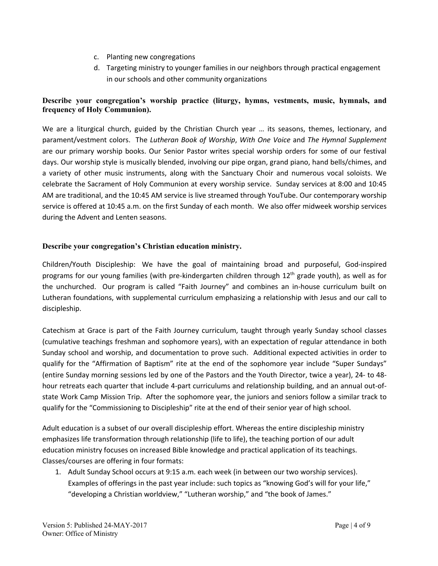- c. Planting new congregations
- d. Targeting ministry to younger families in our neighbors through practical engagement in our schools and other community organizations

#### **Describe your congregation's worship practice (liturgy, hymns, vestments, music, hymnals, and frequency of Holy Communion).**

We are a liturgical church, guided by the Christian Church year … its seasons, themes, lectionary, and parament/vestment colors. The *Lutheran Book of Worship*, *With One Voice* and *The Hymnal Supplement* are our primary worship books. Our Senior Pastor writes special worship orders for some of our festival days. Our worship style is musically blended, involving our pipe organ, grand piano, hand bells/chimes, and a variety of other music instruments, along with the Sanctuary Choir and numerous vocal soloists. We celebrate the Sacrament of Holy Communion at every worship service. Sunday services at 8:00 and 10:45 AM are traditional, and the 10:45 AM service is live streamed through YouTube. Our contemporary worship service is offered at 10:45 a.m. on the first Sunday of each month. We also offer midweek worship services during the Advent and Lenten seasons.

#### **Describe your congregation's Christian education ministry.**

Children/Youth Discipleship: We have the goal of maintaining broad and purposeful, God-inspired programs for our young families (with pre-kindergarten children through 12<sup>th</sup> grade youth), as well as for the unchurched. Our program is called "Faith Journey" and combines an in-house curriculum built on Lutheran foundations, with supplemental curriculum emphasizing a relationship with Jesus and our call to discipleship.

Catechism at Grace is part of the Faith Journey curriculum, taught through yearly Sunday school classes (cumulative teachings freshman and sophomore years), with an expectation of regular attendance in both Sunday school and worship, and documentation to prove such. Additional expected activities in order to qualify for the "Affirmation of Baptism" rite at the end of the sophomore year include "Super Sundays" (entire Sunday morning sessions led by one of the Pastors and the Youth Director, twice a year), 24- to 48 hour retreats each quarter that include 4-part curriculums and relationship building, and an annual out-ofstate Work Camp Mission Trip. After the sophomore year, the juniors and seniors follow a similar track to qualify for the "Commissioning to Discipleship" rite at the end of their senior year of high school.

Adult education is a subset of our overall discipleship effort. Whereas the entire discipleship ministry emphasizes life transformation through relationship (life to life), the teaching portion of our adult education ministry focuses on increased Bible knowledge and practical application of its teachings. Classes/courses are offering in four formats:

1. Adult Sunday School occurs at 9:15 a.m. each week (in between our two worship services). Examples of offerings in the past year include: such topics as "knowing God's will for your life," "developing a Christian worldview," "Lutheran worship," and "the book of James."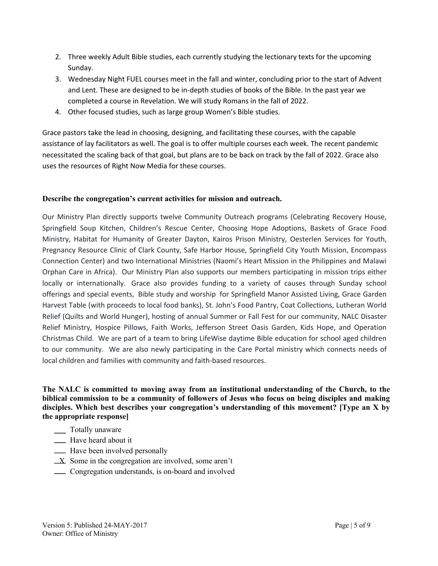- 2. Three weekly Adult Bible studies, each currently studying the lectionary texts for the upcoming Sunday.
- 3. Wednesday Night FUEL courses meet in the fall and winter, concluding prior to the start of Advent and Lent. These are designed to be in-depth studies of books of the Bible. In the past year we completed a course in Revelation. We will study Romans in the fall of 2022.
- 4. Other focused studies, such as large group Women's Bible studies.

Grace pastors take the lead in choosing, designing, and facilitating these courses, with the capable assistance of lay facilitators as well. The goal is to offer multiple courses each week. The recent pandemic necessitated the scaling back of that goal, but plans are to be back on track by the fall of 2022. Grace also uses the resources of Right Now Media for these courses.

#### **Describe the congregation's current activities for mission and outreach.**

Our Ministry Plan directly supports twelve Community Outreach programs (Celebrating Recovery House, Springfield Soup Kitchen, Children's Rescue Center, Choosing Hope Adoptions, Baskets of Grace Food Ministry, Habitat for Humanity of Greater Dayton, Kairos Prison Ministry, Oesterlen Services for Youth, Pregnancy Resource Clinic of Clark County, Safe Harbor House, Springfield City Youth Mission, Encompass Connection Center) and two International Ministries (Naomi's Heart Mission in the Philippines and Malawi Orphan Care in Africa). Our Ministry Plan also supports our members participating in mission trips either locally or internationally. Grace also provides funding to a variety of causes through Sunday school offerings and special events, Bible study and worship for Springfield Manor Assisted Living, Grace Garden Harvest Table (with proceeds to local food banks), St. John's Food Pantry, Coat Collections, Lutheran World Relief (Quilts and World Hunger), hosting of annual Summer or Fall Fest for our community, NALC Disaster Relief Ministry, Hospice Pillows, Faith Works, Jefferson Street Oasis Garden, Kids Hope, and Operation Christmas Child. We are part of a team to bring LifeWise daytime Bible education for school aged children to our community. We are also newly participating in the Care Portal ministry which connects needs of local children and families with community and faith-based resources.

**The NALC is committed to moving away from an institutional understanding of the Church, to the biblical commission to be a community of followers of Jesus who focus on being disciples and making disciples. Which best describes your congregation's understanding of this movement? [Type an X by the appropriate response]**

- \_\_\_\_ Totally unaware
- **Have heard about it**
- **EXECUTE:** Have been involved personally
- $\angle X$  Some in the congregation are involved, some aren't
- Congregation understands, is on-board and involved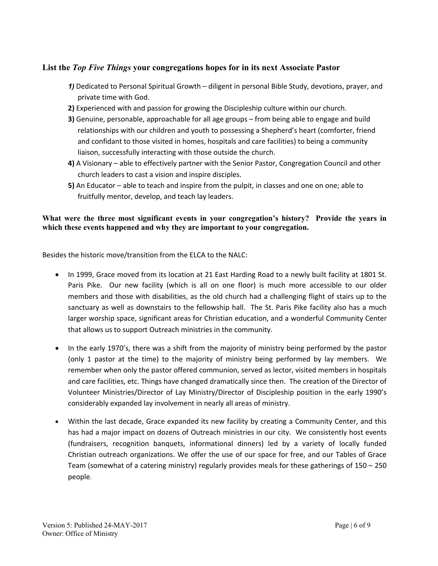## **List the** *Top Five Things* **your congregations hopes for in its next Associate Pastor**

- *1)* Dedicated to Personal Spiritual Growth diligent in personal Bible Study, devotions, prayer, and private time with God.
- **2)** Experienced with and passion for growing the Discipleship culture within our church.
- **3)** Genuine, personable, approachable for all age groups from being able to engage and build relationships with our children and youth to possessing a Shepherd's heart (comforter, friend and confidant to those visited in homes, hospitals and care facilities) to being a community liaison, successfully interacting with those outside the church.
- **4)** A Visionary able to effectively partner with the Senior Pastor, Congregation Council and other church leaders to cast a vision and inspire disciples.
- **5)** An Educator able to teach and inspire from the pulpit, in classes and one on one; able to fruitfully mentor, develop, and teach lay leaders.

#### **What were the three most significant events in your congregation's history? Provide the years in which these events happened and why they are important to your congregation.**

Besides the historic move/transition from the ELCA to the NALC:

- In 1999, Grace moved from its location at 21 East Harding Road to a newly built facility at 1801 St. Paris Pike. Our new facility (which is all on one floor) is much more accessible to our older members and those with disabilities, as the old church had a challenging flight of stairs up to the sanctuary as well as downstairs to the fellowship hall. The St. Paris Pike facility also has a much larger worship space, significant areas for Christian education, and a wonderful Community Center that allows us to support Outreach ministries in the community.
- In the early 1970's, there was a shift from the majority of ministry being performed by the pastor (only 1 pastor at the time) to the majority of ministry being performed by lay members. We remember when only the pastor offered communion, served as lector, visited members in hospitals and care facilities, etc. Things have changed dramatically since then. The creation of the Director of Volunteer Ministries/Director of Lay Ministry/Director of Discipleship position in the early 1990's considerably expanded lay involvement in nearly all areas of ministry.
- Within the last decade, Grace expanded its new facility by creating a Community Center, and this has had a major impact on dozens of Outreach ministries in our city. We consistently host events (fundraisers, recognition banquets, informational dinners) led by a variety of locally funded Christian outreach organizations. We offer the use of our space for free, and our Tables of Grace Team (somewhat of a catering ministry) regularly provides meals for these gatherings of 150 – 250 people.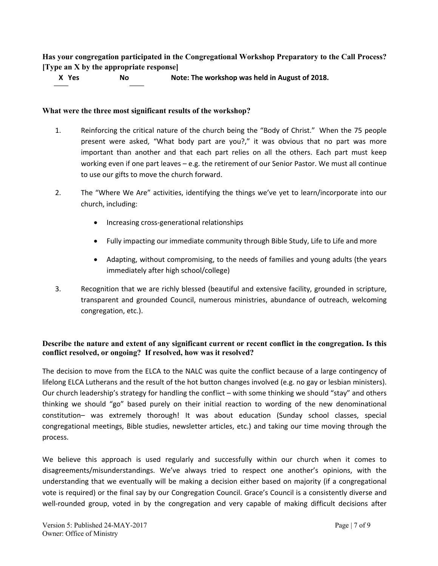**Has your congregation participated in the Congregational Workshop Preparatory to the Call Process? [Type an X by the appropriate response]**

 **X Yes No Note: The workshop was held in August of 2018.**

#### **What were the three most significant results of the workshop?**

- 1. Reinforcing the critical nature of the church being the "Body of Christ." When the 75 people present were asked, "What body part are you?," it was obvious that no part was more important than another and that each part relies on all the others. Each part must keep working even if one part leaves – e.g. the retirement of our Senior Pastor. We must all continue to use our gifts to move the church forward.
- 2. The "Where We Are" activities, identifying the things we've yet to learn/incorporate into our church, including:
	- Increasing cross-generational relationships
	- Fully impacting our immediate community through Bible Study, Life to Life and more
	- Adapting, without compromising, to the needs of families and young adults (the years immediately after high school/college)
- 3. Recognition that we are richly blessed (beautiful and extensive facility, grounded in scripture, transparent and grounded Council, numerous ministries, abundance of outreach, welcoming congregation, etc.).

#### **Describe the nature and extent of any significant current or recent conflict in the congregation. Is this conflict resolved, or ongoing? If resolved, how was it resolved?**

The decision to move from the ELCA to the NALC was quite the conflict because of a large contingency of lifelong ELCA Lutherans and the result of the hot button changes involved (e.g. no gay or lesbian ministers). Our church leadership's strategy for handling the conflict – with some thinking we should "stay" and others thinking we should "go" based purely on their initial reaction to wording of the new denominational constitution– was extremely thorough! It was about education (Sunday school classes, special congregational meetings, Bible studies, newsletter articles, etc.) and taking our time moving through the process.

We believe this approach is used regularly and successfully within our church when it comes to disagreements/misunderstandings. We've always tried to respect one another's opinions, with the understanding that we eventually will be making a decision either based on majority (if a congregational vote is required) or the final say by our Congregation Council. Grace's Council is a consistently diverse and well-rounded group, voted in by the congregation and very capable of making difficult decisions after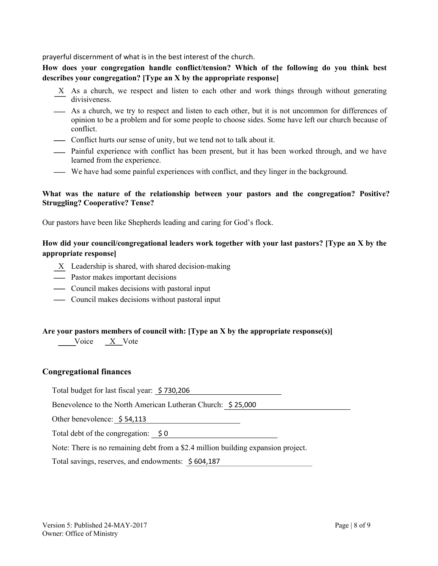prayerful discernment of what is in the best interest of the church.

**How does your congregation handle conflict/tension? Which of the following do you think best describes your congregation? [Type an X by the appropriate response]**

- X As a church, we respect and listen to each other and work things through without generating divisiveness.
- As a church, we try to respect and listen to each other, but it is not uncommon for differences of opinion to be a problem and for some people to choose sides. Some have left our church because of conflict.
- Conflict hurts our sense of unity, but we tend not to talk about it.
- Painful experience with conflict has been present, but it has been worked through, and we have learned from the experience.
- We have had some painful experiences with conflict, and they linger in the background.

#### **What was the nature of the relationship between your pastors and the congregation? Positive? Struggling? Cooperative? Tense?**

Our pastors have been like Shepherds leading and caring for God's flock.

#### **How did your council/congregational leaders work together with your last pastors? [Type an X by the appropriate response]**

- X Leadership is shared, with shared decision-making
- Pastor makes important decisions
- Council makes decisions with pastoral input
- Council makes decisions without pastoral input

#### **Are your pastors members of council with: [Type an X by the appropriate response(s)]**

Voice X Vote

#### **Congregational finances**

Total budget for last fiscal year: \$ 730,206

Benevolence to the North American Lutheran Church: \$ 25,000

Other benevolence: \$ 54,113

Total debt of the congregation:  $\oint$  0

Note: There is no remaining debt from a \$2.4 million building expansion project.

Total savings, reserves, and endowments: \$ 604,187